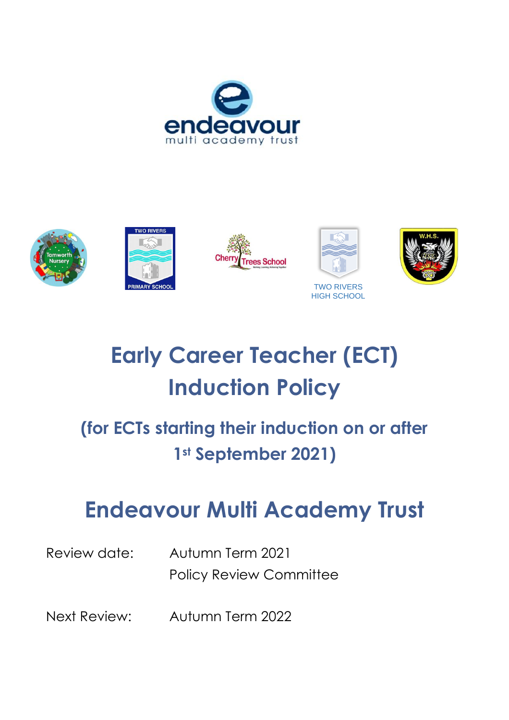











# **Early Career Teacher (ECT) Induction Policy**

### **(for ECTs starting their induction on or after 1st September 2021)**

## **Endeavour Multi Academy Trust**

Review date: Autumn Term 2021 Policy Review Committee

Next Review: Autumn Term 2022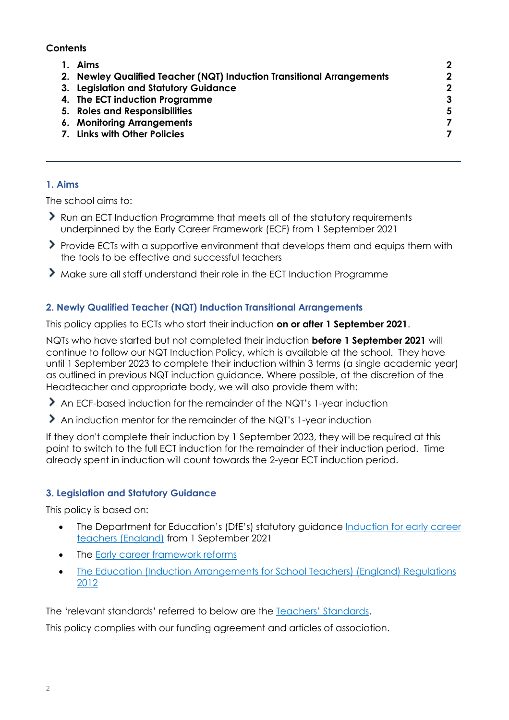#### **Contents**

| Aims                                                                  | 2                |
|-----------------------------------------------------------------------|------------------|
| 2. Newley Qualified Teacher (NQT) Induction Transitional Arrangements | $\mathbf 2$      |
| 3. Legislation and Statutory Guidance                                 | $\boldsymbol{2}$ |
| 4. The ECT induction Programme                                        | 3                |
| 5. Roles and Responsibilities                                         | 5                |
| 6. Monitoring Arrangements                                            |                  |
| <b>Links with Other Policies</b>                                      |                  |
|                                                                       |                  |

#### **1. Aims**

The school aims to:

- Run an ECT Induction Programme that meets all of the statutory requirements underpinned by the Early Career Framework (ECF) from 1 September 2021
- Provide ECTs with a supportive environment that develops them and equips them with the tools to be effective and successful teachers
- Make sure all staff understand their role in the ECT Induction Programme

#### **2. Newly Qualified Teacher (NQT) Induction Transitional Arrangements**

This policy applies to ECTs who start their induction **on or after 1 September 2021**.

NQTs who have started but not completed their induction **before 1 September 2021** will continue to follow our NQT Induction Policy, which is available at the school. They have until 1 September 2023 to complete their induction within 3 terms (a single academic year) as outlined in previous NQT induction guidance. Where possible, at the discretion of the Headteacher and appropriate body, we will also provide them with:

- An ECF-based induction for the remainder of the NQT's 1-year induction
- An induction mentor for the remainder of the NQT's 1-year induction

If they don't complete their induction by 1 September 2023, they will be required at this point to switch to the full ECT induction for the remainder of their induction period. Time already spent in induction will count towards the 2-year ECT induction period.

#### **3. Legislation and Statutory Guidance**

This policy is based on:

- The Department for Education's (DfE's) statutory guidance Induction for early career [teachers \(England\)](https://www.gov.uk/government/publications/induction-for-early-career-teachers-england) from 1 September 2021
- The **Early career framework reforms**
- [The Education \(Induction Arrangements for School Teachers\) \(England\) Regulations](http://www.legislation.gov.uk/uksi/2012/1115/contents/made)  [2012](http://www.legislation.gov.uk/uksi/2012/1115/contents/made)

The 'relevant standards' referred to below are the [Teachers' Standards](https://www.gov.uk/government/publications/teachers-standards).

This policy complies with our funding agreement and articles of association.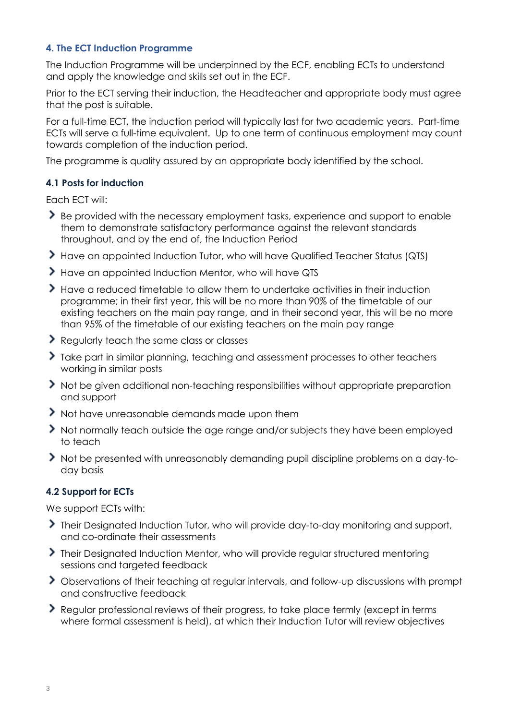#### **4. The ECT Induction Programme**

The Induction Programme will be underpinned by the ECF, enabling ECTs to understand and apply the knowledge and skills set out in the ECF.

Prior to the ECT serving their induction, the Headteacher and appropriate body must agree that the post is suitable.

For a full-time ECT, the induction period will typically last for two academic years. Part-time ECTs will serve a full-time equivalent. Up to one term of continuous employment may count towards completion of the induction period.

The programme is quality assured by an appropriate body identified by the school.

#### **4.1 Posts for induction**

Each ECT will:

- Be provided with the necessary employment tasks, experience and support to enable them to demonstrate satisfactory performance against the relevant standards throughout, and by the end of, the Induction Period
- > Have an appointed Induction Tutor, who will have Qualified Teacher Status (QTS)
- Have an appointed Induction Mentor, who will have QTS
- Have a reduced timetable to allow them to undertake activities in their induction programme; in their first year, this will be no more than 90% of the timetable of our existing teachers on the main pay range, and in their second year, this will be no more than 95% of the timetable of our existing teachers on the main pay range
- Regularly teach the same class or classes
- Take part in similar planning, teaching and assessment processes to other teachers working in similar posts
- Not be given additional non-teaching responsibilities without appropriate preparation and support
- Not have unreasonable demands made upon them
- Not normally teach outside the age range and/or subjects they have been employed to teach
- Not be presented with unreasonably demanding pupil discipline problems on a day-today basis

#### **4.2 Support for ECTs**

We support ECTs with:

- **Their Designated Induction Tutor, who will provide day-to-day monitoring and support,** and co-ordinate their assessments
- **Their Designated Induction Mentor, who will provide regular structured mentoring** sessions and targeted feedback
- Observations of their teaching at regular intervals, and follow-up discussions with prompt and constructive feedback
- Regular professional reviews of their progress, to take place termly (except in terms where formal assessment is held), at which their Induction Tutor will review objectives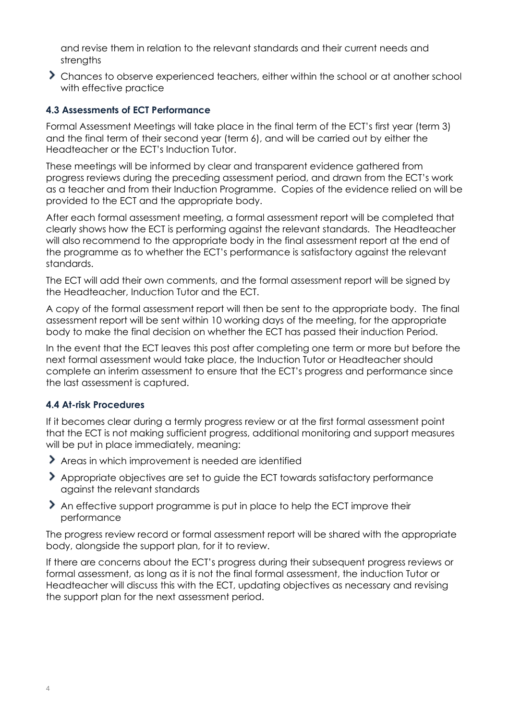and revise them in relation to the relevant standards and their current needs and strengths

Chances to observe experienced teachers, either within the school or at another school with effective practice

#### **4.3 Assessments of ECT Performance**

Formal Assessment Meetings will take place in the final term of the ECT's first year (term 3) and the final term of their second year (term 6), and will be carried out by either the Headteacher or the ECT's Induction Tutor.

These meetings will be informed by clear and transparent evidence gathered from progress reviews during the preceding assessment period, and drawn from the ECT's work as a teacher and from their Induction Programme. Copies of the evidence relied on will be provided to the ECT and the appropriate body.

After each formal assessment meeting, a formal assessment report will be completed that clearly shows how the ECT is performing against the relevant standards. The Headteacher will also recommend to the appropriate body in the final assessment report at the end of the programme as to whether the ECT's performance is satisfactory against the relevant standards.

The ECT will add their own comments, and the formal assessment report will be signed by the Headteacher, Induction Tutor and the ECT.

A copy of the formal assessment report will then be sent to the appropriate body. The final assessment report will be sent within 10 working days of the meeting, for the appropriate body to make the final decision on whether the ECT has passed their induction Period.

In the event that the ECT leaves this post after completing one term or more but before the next formal assessment would take place, the Induction Tutor or Headteacher should complete an interim assessment to ensure that the ECT's progress and performance since the last assessment is captured.

#### **4.4 At-risk Procedures**

If it becomes clear during a termly progress review or at the first formal assessment point that the ECT is not making sufficient progress, additional monitoring and support measures will be put in place immediately, meaning:

- Areas in which improvement is needed are identified
- Appropriate objectives are set to guide the ECT towards satisfactory performance against the relevant standards
- An effective support programme is put in place to help the ECT improve their performance

The progress review record or formal assessment report will be shared with the appropriate body, alongside the support plan, for it to review.

If there are concerns about the ECT's progress during their subsequent progress reviews or formal assessment, as long as it is not the final formal assessment, the induction Tutor or Headteacher will discuss this with the ECT, updating objectives as necessary and revising the support plan for the next assessment period.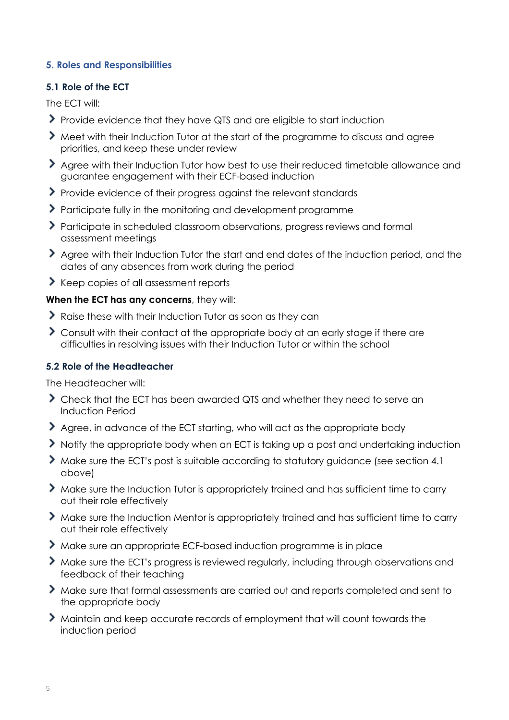#### **5. Roles and Responsibilities**

#### **5.1 Role of the ECT**

The ECT will:

- Provide evidence that they have QTS and are eligible to start induction
- Meet with their Induction Tutor at the start of the programme to discuss and agree priorities, and keep these under review
- Agree with their Induction Tutor how best to use their reduced timetable allowance and guarantee engagement with their ECF-based induction
- Provide evidence of their progress against the relevant standards
- Participate fully in the monitoring and development programme
- Participate in scheduled classroom observations, progress reviews and formal assessment meetings
- Agree with their Induction Tutor the start and end dates of the induction period, and the dates of any absences from work during the period
- Keep copies of all assessment reports

#### **When the ECT has any concerns**, they will:

- $\blacktriangleright$  Raise these with their Induction Tutor as soon as they can
- Consult with their contact at the appropriate body at an early stage if there are difficulties in resolving issues with their Induction Tutor or within the school

#### **5.2 Role of the Headteacher**

The Headteacher will:

- Check that the ECT has been awarded QTS and whether they need to serve an Induction Period
- Agree, in advance of the ECT starting, who will act as the appropriate body
- If Notify the appropriate body when an ECT is taking up a post and undertaking induction
- Make sure the ECT's post is suitable according to statutory guidance (see section 4.1 above)
- Make sure the Induction Tutor is appropriately trained and has sufficient time to carry out their role effectively
- Make sure the Induction Mentor is appropriately trained and has sufficient time to carry out their role effectively
- Make sure an appropriate ECF-based induction programme is in place
- Make sure the ECT's progress is reviewed regularly, including through observations and feedback of their teaching
- Make sure that formal assessments are carried out and reports completed and sent to the appropriate body
- Maintain and keep accurate records of employment that will count towards the induction period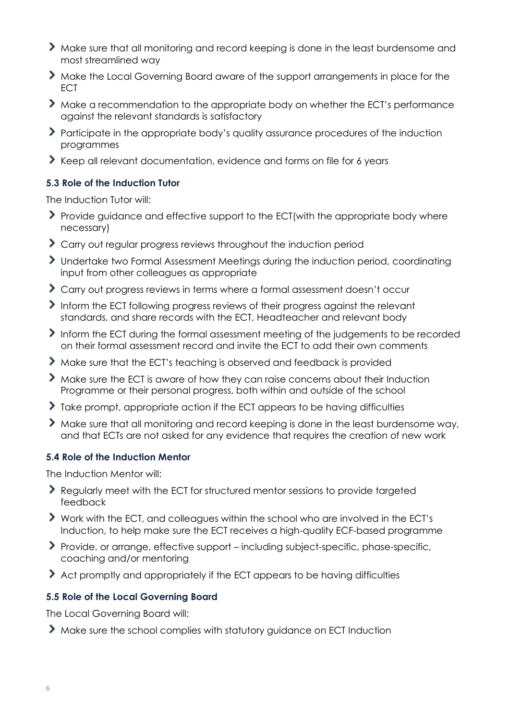- Make sure that all monitoring and record keeping is done in the least burdensome and most streamlined way
- Make the Local Governing Board aware of the support arrangements in place for the ECT
- Make a recommendation to the appropriate body on whether the ECT's performance against the relevant standards is satisfactory
- Participate in the appropriate body's quality assurance procedures of the induction programmes
- Keep all relevant documentation, evidence and forms on file for 6 years

#### **5.3 Role of the Induction Tutor**

The Induction Tutor will:

- Provide guidance and effective support to the ECT(with the appropriate body where necessary)
- S Carry out regular progress reviews throughout the induction period
- Undertake two Formal Assessment Meetings during the induction period, coordinating input from other colleagues as appropriate
- Carry out progress reviews in terms where a formal assessment doesn't occur
- Inform the ECT following progress reviews of their progress against the relevant standards, and share records with the ECT, Headteacher and relevant body
- Inform the ECT during the formal assessment meeting of the judgements to be recorded on their formal assessment record and invite the ECT to add their own comments
- Make sure that the ECT's teaching is observed and feedback is provided
- Make sure the ECT is aware of how they can raise concerns about their Induction Programme or their personal progress, both within and outside of the school
- Take prompt, appropriate action if the ECT appears to be having difficulties
- Make sure that all monitoring and record keeping is done in the least burdensome way, and that ECTs are not asked for any evidence that requires the creation of new work

#### **5.4 Role of the Induction Mentor**

The Induction Mentor will:

- Regularly meet with the ECT for structured mentor sessions to provide targeted feedback
- Work with the ECT, and colleagues within the school who are involved in the ECT's Induction, to help make sure the ECT receives a high-quality ECF-based programme
- Provide, or arrange, effective support including subject-specific, phase-specific, coaching and/or mentoring
- Act promptly and appropriately if the ECT appears to be having difficulties

#### **5.5 Role of the Local Governing Board**

The Local Governing Board will:

Make sure the school complies with statutory guidance on ECT Induction